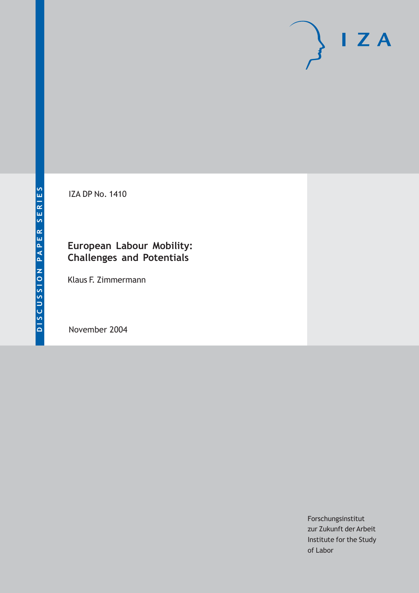# $I Z A$

IZA DP No. 1410

# **European Labour Mobility: Challenges and Potentials**

Klaus F. Zimmermann

November 2004

Forschungsinstitut zur Zukunft der Arbeit Institute for the Study of Labor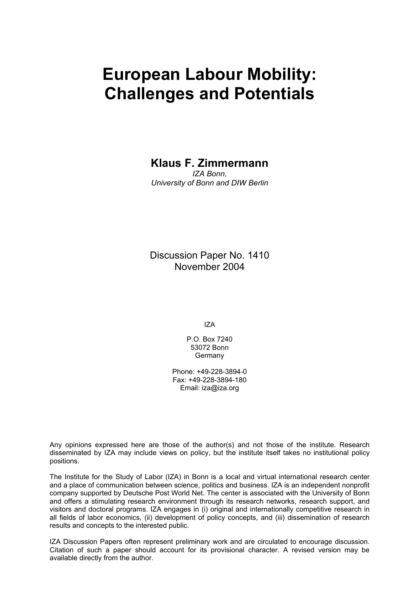# **European Labour Mobility: Challenges and Potentials**

## **Klaus F. Zimmermann**

*IZA Bonn, University of Bonn and DIW Berlin*

### Discussion Paper No. 1410 November 2004

IZA

P.O. Box 7240 53072 Bonn Germany

Phone: +49-228-3894-0 Fax: +49-228-3894-180 Email: [iza@iza.org](mailto:iza@iza.org)

Any opinions expressed here are those of the author(s) and not those of the institute. Research disseminated by IZA may include views on policy, but the institute itself takes no institutional policy positions.

The Institute for the Study of Labor (IZA) in Bonn is a local and virtual international research center and a place of communication between science, politics and business. IZA is an independent nonprofit company supported by Deutsche Post World Net. The center is associated with the University of Bonn and offers a stimulating research environment through its research networks, research support, and visitors and doctoral programs. IZA engages in (i) original and internationally competitive research in all fields of labor economics, (ii) development of policy concepts, and (iii) dissemination of research results and concepts to the interested public.

IZA Discussion Papers often represent preliminary work and are circulated to encourage discussion. Citation of such a paper should account for its provisional character. A revised version may be available directly from the author.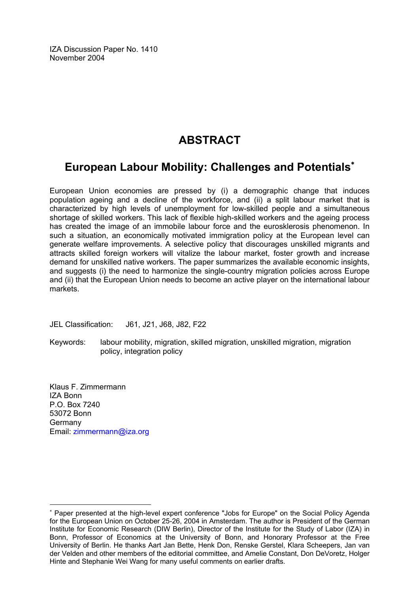IZA Discussion Paper No. 1410 November 2004

# **ABSTRACT**

# **European Labour Mobility: Challenges and Potentials**[∗](#page-2-0)

European Union economies are pressed by (i) a demographic change that induces population ageing and a decline of the workforce, and (ii) a split labour market that is characterized by high levels of unemployment for low-skilled people and a simultaneous shortage of skilled workers. This lack of flexible high-skilled workers and the ageing process has created the image of an immobile labour force and the eurosklerosis phenomenon. In such a situation, an economically motivated immigration policy at the European level can generate welfare improvements. A selective policy that discourages unskilled migrants and attracts skilled foreign workers will vitalize the labour market, foster growth and increase demand for unskilled native workers. The paper summarizes the available economic insights, and suggests (i) the need to harmonize the single-country migration policies across Europe and (ii) that the European Union needs to become an active player on the international labour markets.

JEL Classification: J61, J21, J68, J82, F22

Keywords: labour mobility, migration, skilled migration, unskilled migration, migration policy, integration policy

Klaus F. Zimmermann IZA Bonn P.O. Box 7240 53072 Bonn Germany Email: [zimmermann@iza.org](mailto:zimmermann@iza.org) 

 $\overline{a}$ 

<span id="page-2-0"></span><sup>∗</sup> Paper presented at the high-level expert conference "Jobs for Europe" on the Social Policy Agenda for the European Union on October 25-26, 2004 in Amsterdam. The author is President of the German Institute for Economic Research (DIW Berlin), Director of the Institute for the Study of Labor (IZA) in Bonn, Professor of Economics at the University of Bonn, and Honorary Professor at the Free University of Berlin. He thanks Aart Jan Bette, Henk Don, Renske Gerstel, Klara Scheepers, Jan van der Velden and other members of the editorial committee, and Amelie Constant, Don DeVoretz, Holger Hinte and Stephanie Wei Wang for many useful comments on earlier drafts.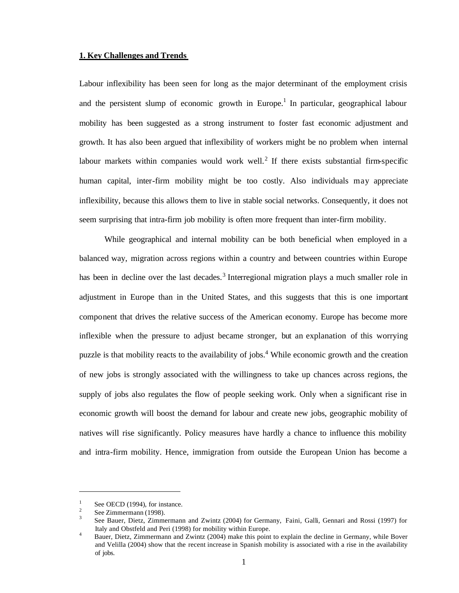#### **1. Key Challenges and Trends**

Labour inflexibility has been seen for long as the major determinant of the employment crisis and the persistent slump of economic growth in Europe.<sup>1</sup> In particular, geographical labour mobility has been suggested as a strong instrument to foster fast economic adjustment and growth. It has also been argued that inflexibility of workers might be no problem when internal labour markets within companies would work well.<sup>2</sup> If there exists substantial firm-specific human capital, inter-firm mobility might be too costly. Also individuals may appreciate inflexibility, because this allows them to live in stable social networks. Consequently, it does not seem surprising that intra-firm job mobility is often more frequent than inter-firm mobility.

While geographical and internal mobility can be both beneficial when employed in a balanced way, migration across regions within a country and between countries within Europe has been in decline over the last decades.<sup>3</sup> Interregional migration plays a much smaller role in adjustment in Europe than in the United States, and this suggests that this is one important component that drives the relative success of the American economy. Europe has become more inflexible when the pressure to adjust became stronger, but an explanation of this worrying puzzle is that mobility reacts to the availability of jobs.<sup>4</sup> While economic growth and the creation of new jobs is strongly associated with the willingness to take up chances across regions, the supply of jobs also regulates the flow of people seeking work. Only when a significant rise in economic growth will boost the demand for labour and create new jobs, geographic mobility of natives will rise significantly. Policy measures have hardly a chance to influence this mobility and intra-firm mobility. Hence, immigration from outside the European Union has become a

<sup>&</sup>lt;sup>1</sup> See OECD (1994), for instance.

<sup>2</sup> See Zimmermann (1998). 3

See Bauer, Dietz, Zimmermann and Zwintz (2004) for Germany, Faini, Galli, Gennari and Rossi (1997) for Italy and Obstfeld and Peri (1998) for mobility within Europe.

<sup>&</sup>lt;sup>4</sup> Bauer, Dietz, Zimmermann and Zwintz (2004) make this point to explain the decline in Germany, while Bover and Velilla (2004) show that the recent increase in Spanish mobility is associated with a rise in the availability of jobs.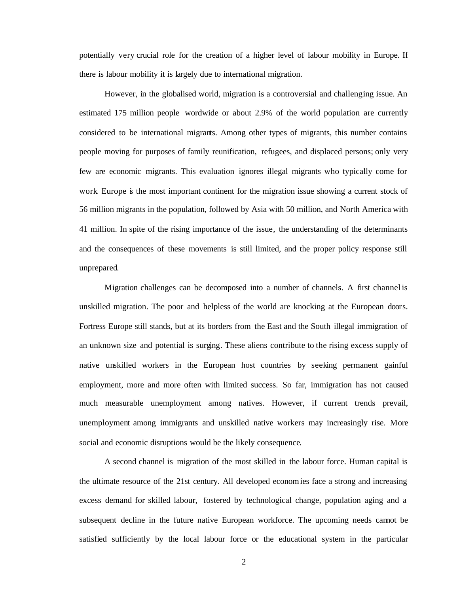potentially very crucial role for the creation of a higher level of labour mobility in Europe. If there is labour mobility it is largely due to international migration.

However, in the globalised world, migration is a controversial and challenging issue. An estimated 175 million people wordwide or about 2.9% of the world population are currently considered to be international migrants. Among other types of migrants, this number contains people moving for purposes of family reunification, refugees, and displaced persons; only very few are economic migrants. This evaluation ignores illegal migrants who typically come for work. Europe is the most important continent for the migration issue showing a current stock of 56 million migrants in the population, followed by Asia with 50 million, and North America with 41 million. In spite of the rising importance of the issue, the understanding of the determinants and the consequences of these movements is still limited, and the proper policy response still unprepared.

Migration challenges can be decomposed into a number of channels. A first channel is unskilled migration. The poor and helpless of the world are knocking at the European doors. Fortress Europe still stands, but at its borders from the East and the South illegal immigration of an unknown size and potential is surging. These aliens contribute to the rising excess supply of native unskilled workers in the European host countries by seeking permanent gainful employment, more and more often with limited success. So far, immigration has not caused much measurable unemployment among natives. However, if current trends prevail, unemployment among immigrants and unskilled native workers may increasingly rise. More social and economic disruptions would be the likely consequence.

A second channel is migration of the most skilled in the labour force. Human capital is the ultimate resource of the 21st century. All developed economies face a strong and increasing excess demand for skilled labour, fostered by technological change, population aging and a subsequent decline in the future native European workforce. The upcoming needs cannot be satisfied sufficiently by the local labour force or the educational system in the particular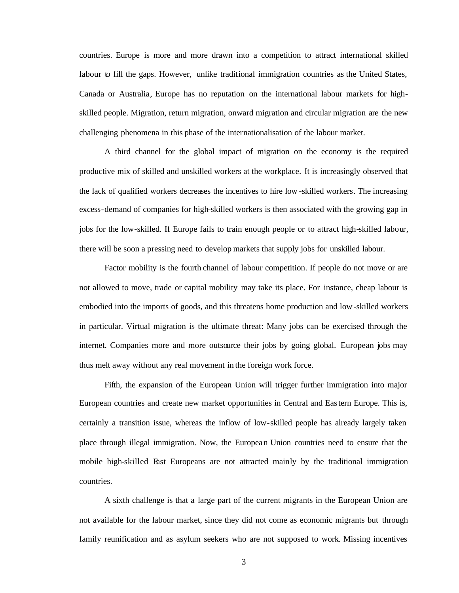countries. Europe is more and more drawn into a competition to attract international skilled labour to fill the gaps. However, unlike traditional immigration countries as the United States, Canada or Australia, Europe has no reputation on the international labour markets for highskilled people. Migration, return migration, onward migration and circular migration are the new challenging phenomena in this phase of the internationalisation of the labour market.

A third channel for the global impact of migration on the economy is the required productive mix of skilled and unskilled workers at the workplace. It is increasingly observed that the lack of qualified workers decreases the incentives to hire low -skilled workers. The increasing excess-demand of companies for high-skilled workers is then associated with the growing gap in jobs for the low-skilled. If Europe fails to train enough people or to attract high-skilled labour, there will be soon a pressing need to develop markets that supply jobs for unskilled labour.

Factor mobility is the fourth channel of labour competition. If people do not move or are not allowed to move, trade or capital mobility may take its place. For instance, cheap labour is embodied into the imports of goods, and this threatens home production and low-skilled workers in particular. Virtual migration is the ultimate threat: Many jobs can be exercised through the internet. Companies more and more outsource their jobs by going global. European jobs may thus melt away without any real movement in the foreign work force.

Fifth, the expansion of the European Union will trigger further immigration into major European countries and create new market opportunities in Central and Eastern Europe. This is, certainly a transition issue, whereas the inflow of low-skilled people has already largely taken place through illegal immigration. Now, the European Union countries need to ensure that the mobile high-skilled East Europeans are not attracted mainly by the traditional immigration countries.

A sixth challenge is that a large part of the current migrants in the European Union are not available for the labour market, since they did not come as economic migrants but through family reunification and as asylum seekers who are not supposed to work. Missing incentives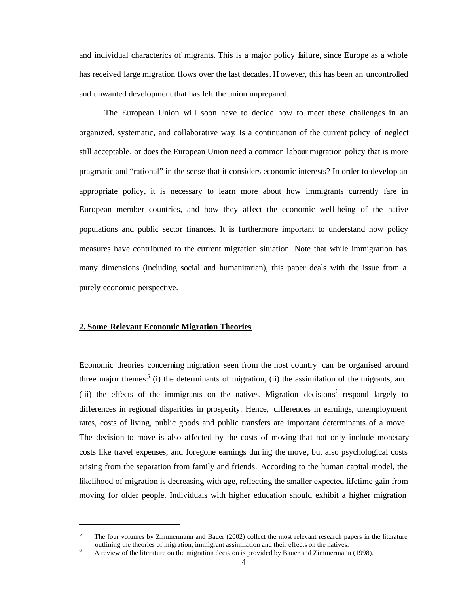and individual characterics of migrants. This is a major policy failure, since Europe as a whole has received large migration flows over the last decades. H owever, this has been an uncontrolled and unwanted development that has left the union unprepared.

The European Union will soon have to decide how to meet these challenges in an organized, systematic, and collaborative way. Is a continuation of the current policy of neglect still acceptable, or does the European Union need a common labour migration policy that is more pragmatic and "rational" in the sense that it considers economic interests? In order to develop an appropriate policy, it is necessary to learn more about how immigrants currently fare in European member countries, and how they affect the economic well-being of the native populations and public sector finances. It is furthermore important to understand how policy measures have contributed to the current migration situation. Note that while immigration has many dimensions (including social and humanitarian), this paper deals with the issue from a purely economic perspective.

#### **2. Some Relevant Economic Migration Theories**

 $\overline{\phantom{a}}$ 

Economic theories concerning migration seen from the host country can be organised around three major themes.<sup>5</sup> (i) the determinants of migration, (ii) the assimilation of the migrants, and (iii) the effects of the immigrants on the natives. Migration decisions<sup>6</sup> respond largely to differences in regional disparities in prosperity. Hence, differences in earnings, unemployment rates, costs of living, public goods and public transfers are important determinants of a move. The decision to move is also affected by the costs of moving that not only include monetary costs like travel expenses, and foregone earnings dur ing the move, but also psychological costs arising from the separation from family and friends. According to the human capital model, the likelihood of migration is decreasing with age, reflecting the smaller expected lifetime gain from moving for older people. Individuals with higher education should exhibit a higher migration

<sup>5</sup> The four volumes by Zimmermann and Bauer (2002) collect the most relevant research papers in the literature outlining the theories of migration, immigrant assimilation and their effects on the natives.

<sup>&</sup>lt;sup>6</sup> A review of the literature on the migration decision is provided by Bauer and Zimmermann (1998).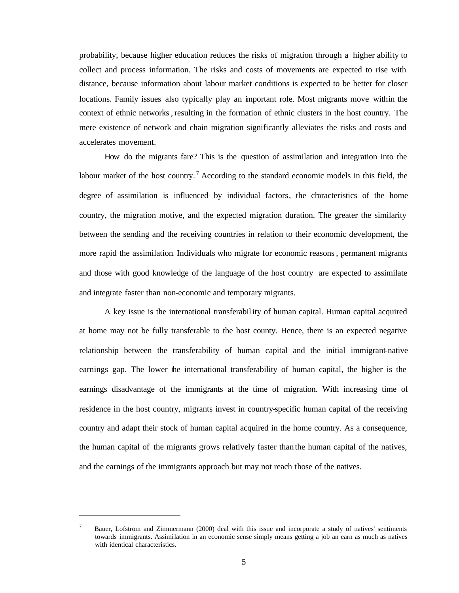probability, because higher education reduces the risks of migration through a higher ability to collect and process information. The risks and costs of movements are expected to rise with distance, because information about labour market conditions is expected to be better for closer locations. Family issues also typically play an important role. Most migrants move within the context of ethnic networks, resulting in the formation of ethnic clusters in the host country. The mere existence of network and chain migration significantly alleviates the risks and costs and accelerates movement.

How do the migrants fare? This is the question of assimilation and integration into the labour market of the host country.<sup>7</sup> According to the standard economic models in this field, the degree of assimilation is influenced by individual factors, the characteristics of the home country, the migration motive, and the expected migration duration. The greater the similarity between the sending and the receiving countries in relation to their economic development, the more rapid the assimilation. Individuals who migrate for economic reasons, permanent migrants and those with good knowledge of the language of the host country are expected to assimilate and integrate faster than non-economic and temporary migrants.

A key issue is the international transferability of human capital. Human capital acquired at home may not be fully transferable to the host county. Hence, there is an expected negative relationship between the transferability of human capital and the initial immigrant-native earnings gap. The lower the international transferability of human capital, the higher is the earnings disadvantage of the immigrants at the time of migration. With increasing time of residence in the host country, migrants invest in country-specific human capital of the receiving country and adapt their stock of human capital acquired in the home country. As a consequence, the human capital of the migrants grows relatively faster than the human capital of the natives, and the earnings of the immigrants approach but may not reach those of the natives.

<sup>&</sup>lt;sup>7</sup> Bauer, Lofstrom and Zimmermann (2000) deal with this issue and incorporate a study of natives' sentiments towards immigrants. Assimilation in an economic sense simply means getting a job an earn as much as natives with identical characteristics.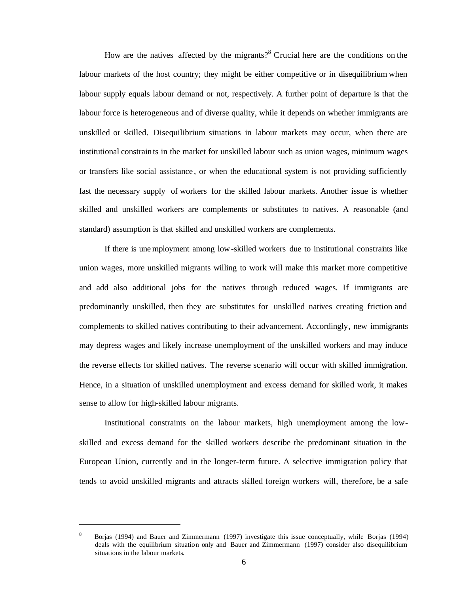How are the natives affected by the migrants?<sup>8</sup> Crucial here are the conditions on the labour markets of the host country; they might be either competitive or in disequilibrium when labour supply equals labour demand or not, respectively. A further point of departure is that the labour force is heterogeneous and of diverse quality, while it depends on whether immigrants are unskilled or skilled. Disequilibrium situations in labour markets may occur, when there are institutional constrain ts in the market for unskilled labour such as union wages, minimum wages or transfers like social assistance , or when the educational system is not providing sufficiently fast the necessary supply of workers for the skilled labour markets. Another issue is whether skilled and unskilled workers are complements or substitutes to natives. A reasonable (and standard) assumption is that skilled and unskilled workers are complements.

If there is une mployment among low-skilled workers due to institutional constraints like union wages, more unskilled migrants willing to work will make this market more competitive and add also additional jobs for the natives through reduced wages. If immigrants are predominantly unskilled, then they are substitutes for unskilled natives creating friction and complements to skilled natives contributing to their advancement. Accordingly, new immigrants may depress wages and likely increase unemployment of the unskilled workers and may induce the reverse effects for skilled natives. The reverse scenario will occur with skilled immigration. Hence, in a situation of unskilled unemployment and excess demand for skilled work, it makes sense to allow for high-skilled labour migrants.

Institutional constraints on the labour markets, high unemployment among the lowskilled and excess demand for the skilled workers describe the predominant situation in the European Union, currently and in the longer-term future. A selective immigration policy that tends to avoid unskilled migrants and attracts skilled foreign workers will, therefore, be a safe

<sup>8</sup> Borjas (1994) and Bauer and Zimmermann (1997) investigate this issue conceptually, while Borjas (1994) deals with the equilibrium situation only and Bauer and Zimmermann (1997) consider also disequilibrium situations in the labour markets.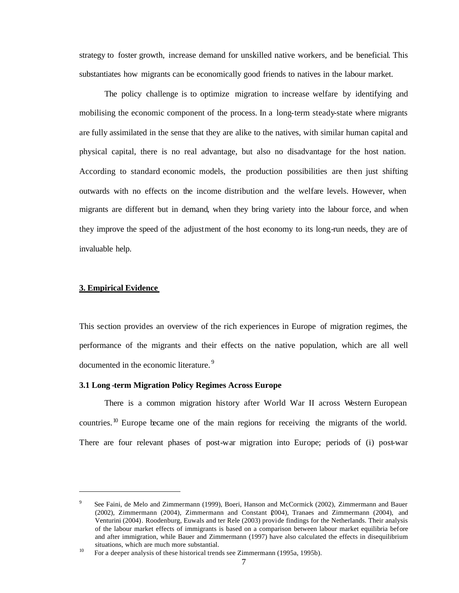strategy to foster growth, increase demand for unskilled native workers, and be beneficial. This substantiates how migrants can be economically good friends to natives in the labour market.

The policy challenge is to optimize migration to increase welfare by identifying and mobilising the economic component of the process. In a long-term steady-state where migrants are fully assimilated in the sense that they are alike to the natives, with similar human capital and physical capital, there is no real advantage, but also no disadvantage for the host nation. According to standard economic models, the production possibilities are then just shifting outwards with no effects on the income distribution and the welfare levels. However, when migrants are different but in demand, when they bring variety into the labour force, and when they improve the speed of the adjustment of the host economy to its long-run needs, they are of invaluable help.

#### **3. Empirical Evidence**

 $\overline{\phantom{a}}$ 

This section provides an overview of the rich experiences in Europe of migration regimes, the performance of the migrants and their effects on the native population, which are all well documented in the economic literature.<sup>9</sup>

#### **3.1 Long -term Migration Policy Regimes Across Europe**

There is a common migration history after World War II across Western European countries.<sup>10</sup> Europe became one of the main regions for receiving the migrants of the world. There are four relevant phases of post-war migration into Europe; periods of (i) post-war

<sup>9</sup> See Faini, de Melo and Zimmermann (1999), Boeri, Hanson and McCormick (2002), Zimmermann and Bauer (2002), Zimmermann (2004), Zimmermann and Constant (2004), Tranaes and Zimmermann (2004), and Venturini (2004). Roodenburg, Euwals and ter Rele (2003) provide findings for the Netherlands. Their analysis of the labour market effects of immigrants is based on a comparison between labour market equilibria before and after immigration, while Bauer and Zimmermann (1997) have also calculated the effects in disequilibrium situations, which are much more substantial.

<sup>&</sup>lt;sup>10</sup> For a deeper analysis of these historical trends see Zimmermann (1995a, 1995b).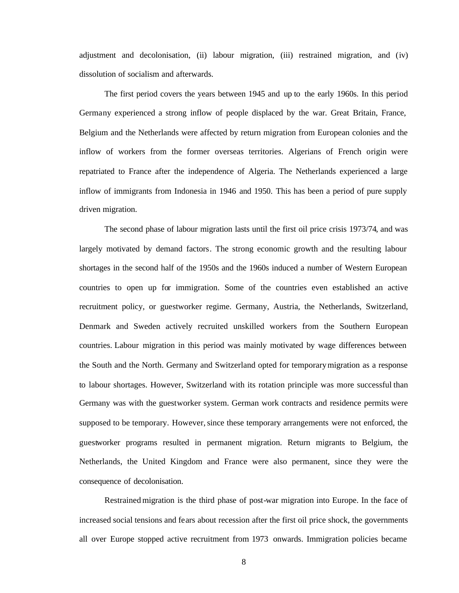adjustment and decolonisation, (ii) labour migration, (iii) restrained migration, and (iv) dissolution of socialism and afterwards.

The first period covers the years between 1945 and up to the early 1960s. In this period Germany experienced a strong inflow of people displaced by the war. Great Britain, France, Belgium and the Netherlands were affected by return migration from European colonies and the inflow of workers from the former overseas territories. Algerians of French origin were repatriated to France after the independence of Algeria. The Netherlands experienced a large inflow of immigrants from Indonesia in 1946 and 1950. This has been a period of pure supply driven migration.

The second phase of labour migration lasts until the first oil price crisis 1973/74, and was largely motivated by demand factors. The strong economic growth and the resulting labour shortages in the second half of the 1950s and the 1960s induced a number of Western European countries to open up for immigration. Some of the countries even established an active recruitment policy, or guestworker regime. Germany, Austria, the Netherlands, Switzerland, Denmark and Sweden actively recruited unskilled workers from the Southern European countries. Labour migration in this period was mainly motivated by wage differences between the South and the North. Germany and Switzerland opted for temporary migration as a response to labour shortages. However, Switzerland with its rotation principle was more successful than Germany was with the guestworker system. German work contracts and residence permits were supposed to be temporary. However, since these temporary arrangements were not enforced, the guestworker programs resulted in permanent migration. Return migrants to Belgium, the Netherlands, the United Kingdom and France were also permanent, since they were the consequence of decolonisation.

Restrained migration is the third phase of post-war migration into Europe. In the face of increased social tensions and fears about recession after the first oil price shock, the governments all over Europe stopped active recruitment from 1973 onwards. Immigration policies became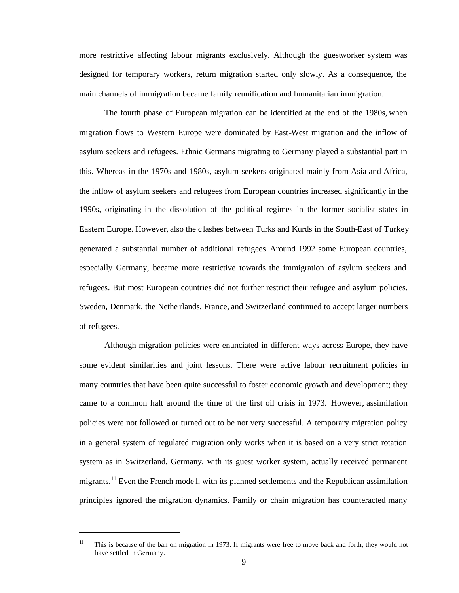more restrictive affecting labour migrants exclusively. Although the guestworker system was designed for temporary workers, return migration started only slowly. As a consequence, the main channels of immigration became family reunification and humanitarian immigration.

The fourth phase of European migration can be identified at the end of the 1980s, when migration flows to Western Europe were dominated by East-West migration and the inflow of asylum seekers and refugees. Ethnic Germans migrating to Germany played a substantial part in this. Whereas in the 1970s and 1980s, asylum seekers originated mainly from Asia and Africa, the inflow of asylum seekers and refugees from European countries increased significantly in the 1990s, originating in the dissolution of the political regimes in the former socialist states in Eastern Europe. However, also the c lashes between Turks and Kurds in the South-East of Turkey generated a substantial number of additional refugees. Around 1992 some European countries, especially Germany, became more restrictive towards the immigration of asylum seekers and refugees. But most European countries did not further restrict their refugee and asylum policies. Sweden, Denmark, the Nethe rlands, France, and Switzerland continued to accept larger numbers of refugees.

Although migration policies were enunciated in different ways across Europe, they have some evident similarities and joint lessons. There were active labour recruitment policies in many countries that have been quite successful to foster economic growth and development; they came to a common halt around the time of the first oil crisis in 1973. However, assimilation policies were not followed or turned out to be not very successful. A temporary migration policy in a general system of regulated migration only works when it is based on a very strict rotation system as in Switzerland. Germany, with its guest worker system, actually received permanent migrants.<sup>11</sup> Even the French mode l, with its planned settlements and the Republican assimilation principles ignored the migration dynamics. Family or chain migration has counteracted many

<sup>&</sup>lt;sup>11</sup> This is because of the ban on migration in 1973. If migrants were free to move back and forth, they would not have settled in Germany.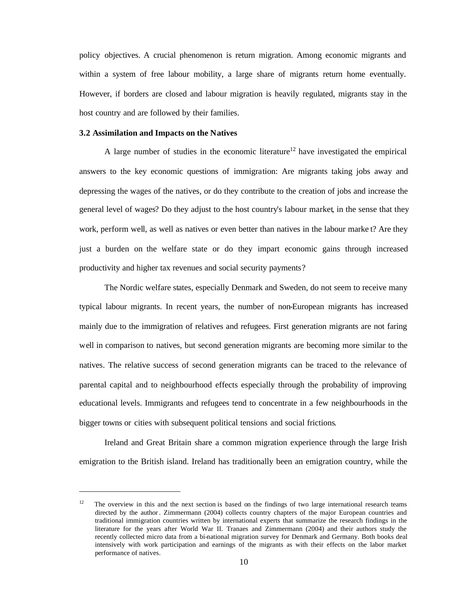policy objectives. A crucial phenomenon is return migration. Among economic migrants and within a system of free labour mobility, a large share of migrants return home eventually. However, if borders are closed and labour migration is heavily regulated, migrants stay in the host country and are followed by their families.

#### **3.2 Assimilation and Impacts on the Natives**

 $\overline{\phantom{a}}$ 

A large number of studies in the economic literature<sup>12</sup> have investigated the empirical answers to the key economic questions of immigration: Are migrants taking jobs away and depressing the wages of the natives, or do they contribute to the creation of jobs and increase the general level of wages? Do they adjust to the host country's labour market, in the sense that they work, perform well, as well as natives or even better than natives in the labour marke t? Are they just a burden on the welfare state or do they impart economic gains through increased productivity and higher tax revenues and social security payments?

The Nordic welfare states, especially Denmark and Sweden, do not seem to receive many typical labour migrants. In recent years, the number of non-European migrants has increased mainly due to the immigration of relatives and refugees. First generation migrants are not faring well in comparison to natives, but second generation migrants are becoming more similar to the natives. The relative success of second generation migrants can be traced to the relevance of parental capital and to neighbourhood effects especially through the probability of improving educational levels. Immigrants and refugees tend to concentrate in a few neighbourhoods in the bigger towns or cities with subsequent political tensions and social frictions.

Ireland and Great Britain share a common migration experience through the large Irish emigration to the British island. Ireland has traditionally been an emigration country, while the

 $12$  The overview in this and the next section is based on the findings of two large international research teams directed by the author. Zimmermann (2004) collects country chapters of the major European countries and traditional immigration countries written by international experts that summarize the research findings in the literature for the years after World War II. Tranaes and Zimmermann (2004) and their authors study the recently collected micro data from a bi-national migration survey for Denmark and Germany. Both books deal intensively with work participation and earnings of the migrants as with their effects on the labor market performance of natives.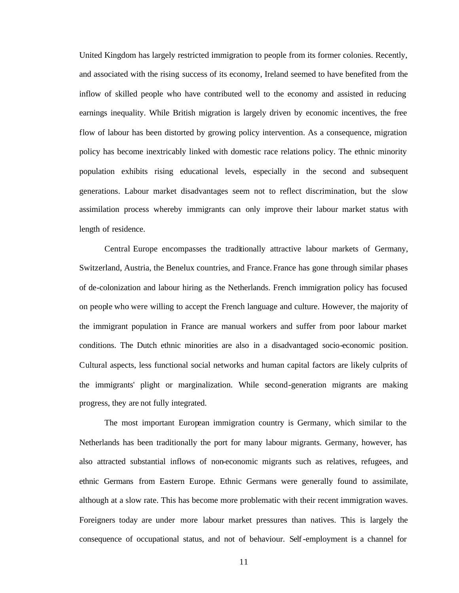United Kingdom has largely restricted immigration to people from its former colonies. Recently, and associated with the rising success of its economy, Ireland seemed to have benefited from the inflow of skilled people who have contributed well to the economy and assisted in reducing earnings inequality. While British migration is largely driven by economic incentives, the free flow of labour has been distorted by growing policy intervention. As a consequence, migration policy has become inextricably linked with domestic race relations policy. The ethnic minority population exhibits rising educational levels, especially in the second and subsequent generations. Labour market disadvantages seem not to reflect discrimination, but the slow assimilation process whereby immigrants can only improve their labour market status with length of residence.

Central Europe encompasses the traditionally attractive labour markets of Germany, Switzerland, Austria, the Benelux countries, and France.France has gone through similar phases of de-colonization and labour hiring as the Netherlands. French immigration policy has focused on people who were willing to accept the French language and culture. However, the majority of the immigrant population in France are manual workers and suffer from poor labour market conditions. The Dutch ethnic minorities are also in a disadvantaged socio-economic position. Cultural aspects, less functional social networks and human capital factors are likely culprits of the immigrants' plight or marginalization. While second-generation migrants are making progress, they are not fully integrated.

The most important European immigration country is Germany, which similar to the Netherlands has been traditionally the port for many labour migrants. Germany, however, has also attracted substantial inflows of non-economic migrants such as relatives, refugees, and ethnic Germans from Eastern Europe. Ethnic Germans were generally found to assimilate, although at a slow rate. This has become more problematic with their recent immigration waves. Foreigners today are under more labour market pressures than natives. This is largely the consequence of occupational status, and not of behaviour. Self-employment is a channel for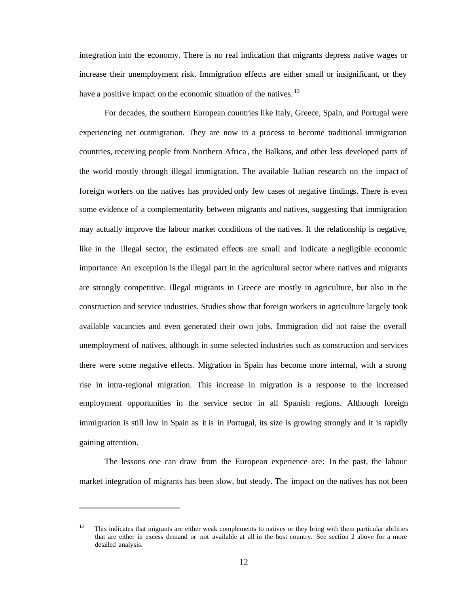integration into the economy. There is no real indication that migrants depress native wages or increase their unemployment risk. Immigration effects are either small or insignificant, or they have a positive impact on the economic situation of the natives.<sup>13</sup>

For decades, the southern European countries like Italy, Greece, Spain, and Portugal were experiencing net outmigration. They are now in a process to become traditional immigration countries, receiving people from Northern Africa , the Balkans, and other less developed parts of the world mostly through illegal immigration. The available Italian research on the impact of foreign workers on the natives has provided only few cases of negative findings. There is even some evidence of a complementarity between migrants and natives, suggesting that immigration may actually improve the labour market conditions of the natives. If the relationship is negative, like in the illegal sector, the estimated effects are small and indicate a negligible economic importance. An exception is the illegal part in the agricultural sector where natives and migrants are strongly competitive. Illegal migrants in Greece are mostly in agriculture, but also in the construction and service industries. Studies show that foreign workers in agriculture largely took available vacancies and even generated their own jobs. Immigration did not raise the overall unemployment of natives, although in some selected industries such as construction and services there were some negative effects. Migration in Spain has become more internal, with a strong rise in intra-regional migration. This increase in migration is a response to the increased employment opportunities in the service sector in all Spanish regions. Although foreign immigration is still low in Spain as it is in Portugal, its size is growing strongly and it is rapidly gaining attention.

The lessons one can draw from the European experience are: In the past, the labour market integration of migrants has been slow, but steady. The impact on the natives has not been

<sup>&</sup>lt;sup>13</sup> This indicates that migrants are either weak complements to natives or they bring with them particular abilities that are either in excess demand or not available at all in the host country. See section 2 above for a more detailed analysis.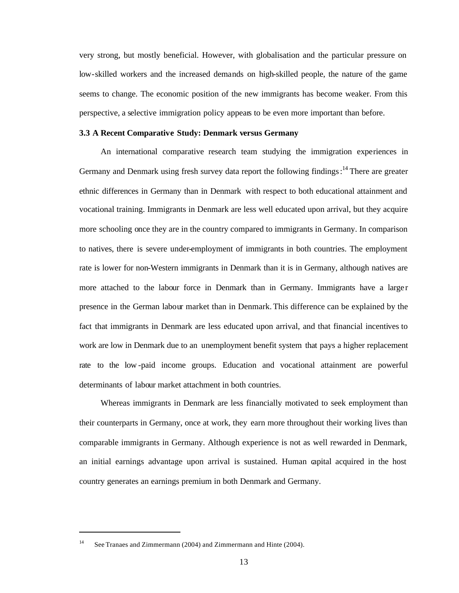very strong, but mostly beneficial. However, with globalisation and the particular pressure on low-skilled workers and the increased demands on high-skilled people, the nature of the game seems to change. The economic position of the new immigrants has become weaker. From this perspective, a selective immigration policy appears to be even more important than before.

#### **3.3 A Recent Comparative Study: Denmark versus Germany**

An international comparative research team studying the immigration experiences in Germany and Denmark using fresh survey data report the following findings:<sup>14</sup> There are greater ethnic differences in Germany than in Denmark with respect to both educational attainment and vocational training. Immigrants in Denmark are less well educated upon arrival, but they acquire more schooling once they are in the country compared to immigrants in Germany. In comparison to natives, there is severe under-employment of immigrants in both countries. The employment rate is lower for non-Western immigrants in Denmark than it is in Germany, although natives are more attached to the labour force in Denmark than in Germany. Immigrants have a larger presence in the German labour market than in Denmark. This difference can be explained by the fact that immigrants in Denmark are less educated upon arrival, and that financial incentives to work are low in Denmark due to an unemployment benefit system that pays a higher replacement rate to the low -paid income groups. Education and vocational attainment are powerful determinants of labour market attachment in both countries.

Whereas immigrants in Denmark are less financially motivated to seek employment than their counterparts in Germany, once at work, they earn more throughout their working lives than comparable immigrants in Germany. Although experience is not as well rewarded in Denmark, an initial earnings advantage upon arrival is sustained. Human capital acquired in the host country generates an earnings premium in both Denmark and Germany.

<sup>&</sup>lt;sup>14</sup> See Tranaes and Zimmermann (2004) and Zimmermann and Hinte (2004).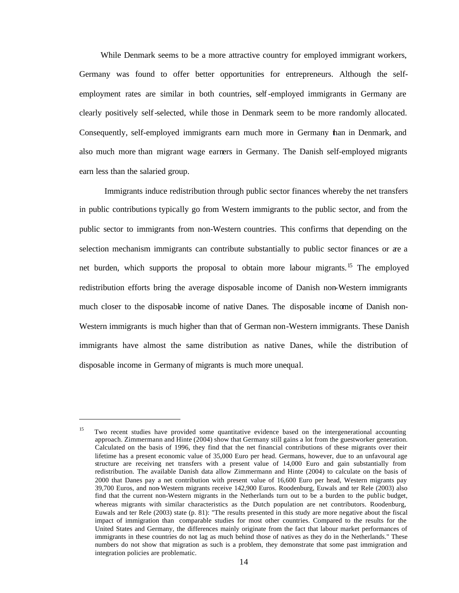While Denmark seems to be a more attractive country for employed immigrant workers, Germany was found to offer better opportunities for entrepreneurs. Although the selfemployment rates are similar in both countries, self-employed immigrants in Germany are clearly positively self-selected, while those in Denmark seem to be more randomly allocated. Consequently, self-employed immigrants earn much more in Germany than in Denmark, and also much more than migrant wage earners in Germany. The Danish self-employed migrants earn less than the salaried group.

Immigrants induce redistribution through public sector finances whereby the net transfers in public contributions typically go from Western immigrants to the public sector, and from the public sector to immigrants from non-Western countries. This confirms that depending on the selection mechanism immigrants can contribute substantially to public sector finances or are a net burden, which supports the proposal to obtain more labour migrants.<sup>15</sup> The employed redistribution efforts bring the average disposable income of Danish non-Western immigrants much closer to the disposable income of native Danes. The disposable income of Danish non-Western immigrants is much higher than that of German non-Western immigrants. These Danish immigrants have almost the same distribution as native Danes, while the distribution of disposable income in Germany of migrants is much more unequal.

<sup>&</sup>lt;sup>15</sup> Two recent studies have provided some quantitative evidence based on the intergenerational accounting approach. Zimmermann and Hinte (2004) show that Germany still gains a lot from the guestworker generation. Calculated on the basis of 1996, they find that the net financial contributions of these migrants over their lifetime has a present economic value of 35,000 Euro per head. Germans, however, due to an unfavoural age structure are receiving net transfers with a present value of 14,000 Euro and gain substantially from redistribution. The available Danish data allow Zimmermann and Hinte (2004) to calculate on the basis of 2000 that Danes pay a net contribution with present value of 16,600 Euro per head, Western migrants pay 39,700 Euros, and non-Western migrants receive 142,900 Euros. Roodenburg, Euwals and ter Rele (2003) also find that the current non-Western migrants in the Netherlands turn out to be a burden to the public budget, whereas migrants with similar characteristics as the Dutch population are net contributors. Roodenburg, Euwals and ter Rele (2003) state (p. 81): "The results presented in this study are more negative about the fiscal impact of immigration than comparable studies for most other countries. Compared to the results for the United States and Germany, the differences mainly originate from the fact that labour market performances of immigrants in these countries do not lag as much behind those of natives as they do in the Netherlands." These numbers do not show that migration as such is a problem, they demonstrate that some past immigration and integration policies are problematic.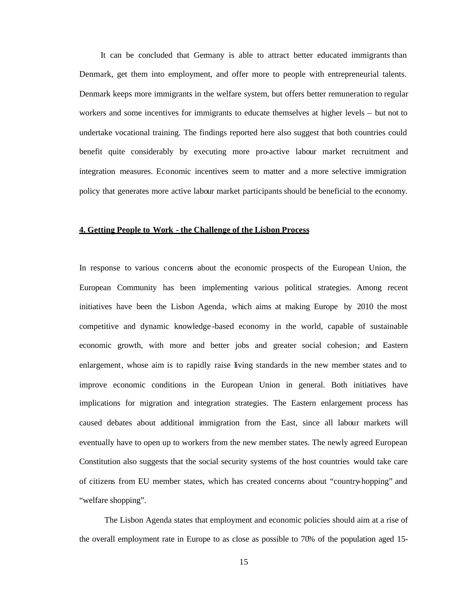It can be concluded that Germany is able to attract better educated immigrants than Denmark, get them into employment, and offer more to people with entrepreneurial talents. Denmark keeps more immigrants in the welfare system, but offers better remuneration to regular workers and some incentives for immigrants to educate themselves at higher levels – but not to undertake vocational training. The findings reported here also suggest that both countries could benefit quite considerably by executing more pro-active labour market recruitment and integration measures. Economic incentives seem to matter and a more selective immigration policy that generates more active labour market participants should be beneficial to the economy.

#### **4. Getting People to Work - the Challenge of the Lisbon Process**

In response to various concerns about the economic prospects of the European Union, the European Community has been implementing various political strategies. Among recent initiatives have been the Lisbon Agenda, which aims at making Europe by 2010 the most competitive and dynamic knowledge -based economy in the world, capable of sustainable economic growth, with more and better jobs and greater social cohesion; and Eastern enlargement, whose aim is to rapidly raise living standards in the new member states and to improve economic conditions in the European Union in general. Both initiatives have implications for migration and integration strategies. The Eastern enlargement process has caused debates about additional immigration from the East, since all labour markets will eventually have to open up to workers from the new member states. The newly agreed European Constitution also suggests that the social security systems of the host countries would take care of citizens from EU member states, which has created concerns about "country-hopping" and "welfare shopping".

The Lisbon Agenda states that employment and economic policies should aim at a rise of the overall employment rate in Europe to as close as possible to 70% of the population aged 15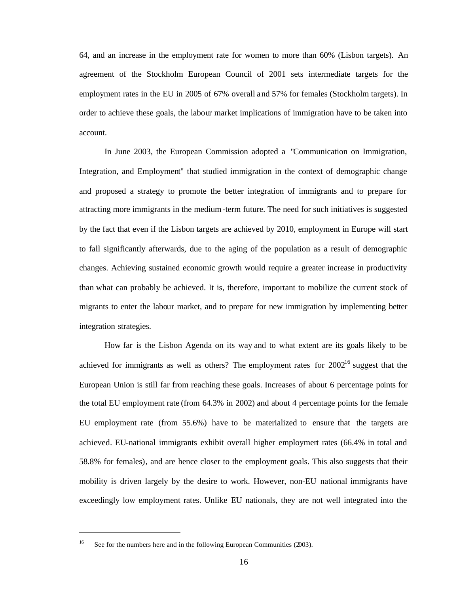64, and an increase in the employment rate for women to more than 60% (Lisbon targets). An agreement of the Stockholm European Council of 2001 sets intermediate targets for the employment rates in the EU in 2005 of 67% overall and 57% for females (Stockholm targets). In order to achieve these goals, the labour market implications of immigration have to be taken into account.

In June 2003, the European Commission adopted a "Communication on Immigration, Integration, and Employment" that studied immigration in the context of demographic change and proposed a strategy to promote the better integration of immigrants and to prepare for attracting more immigrants in the medium-term future. The need for such initiatives is suggested by the fact that even if the Lisbon targets are achieved by 2010, employment in Europe will start to fall significantly afterwards, due to the aging of the population as a result of demographic changes. Achieving sustained economic growth would require a greater increase in productivity than what can probably be achieved. It is, therefore, important to mobilize the current stock of migrants to enter the labour market, and to prepare for new immigration by implementing better integration strategies.

How far is the Lisbon Agenda on its way and to what extent are its goals likely to be achieved for immigrants as well as others? The employment rates for  $2002^{16}$  suggest that the European Union is still far from reaching these goals. Increases of about 6 percentage points for the total EU employment rate (from 64.3% in 2002) and about 4 percentage points for the female EU employment rate (from 55.6%) have to be materialized to ensure that the targets are achieved. EU-national immigrants exhibit overall higher employment rates (66.4% in total and 58.8% for females), and are hence closer to the employment goals. This also suggests that their mobility is driven largely by the desire to work. However, non-EU national immigrants have exceedingly low employment rates. Unlike EU nationals, they are not well integrated into the

<sup>&</sup>lt;sup>16</sup> See for the numbers here and in the following European Communities (2003).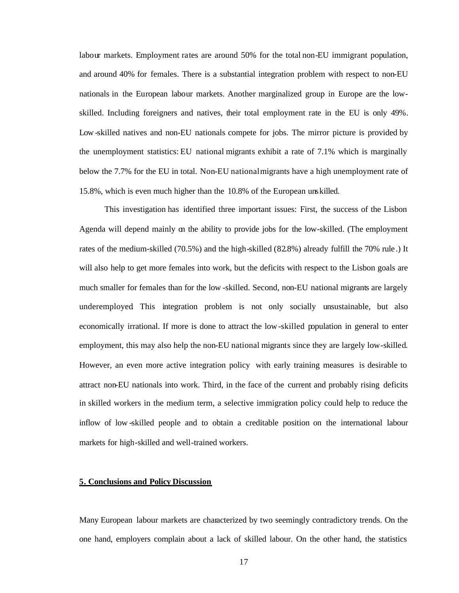labour markets. Employment rates are around 50% for the total non-EU immigrant population, and around 40% for females. There is a substantial integration problem with respect to non-EU nationals in the European labour markets. Another marginalized group in Europe are the lowskilled. Including foreigners and natives, their total employment rate in the EU is only 49%. Low -skilled natives and non-EU nationals compete for jobs. The mirror picture is provided by the unemployment statistics: EU national migrants exhibit a rate of 7.1% which is marginally below the 7.7% for the EU in total. Non-EU national migrants have a high unemployment rate of 15.8%, which is even much higher than the 10.8% of the European unskilled.

This investigation has identified three important issues: First, the success of the Lisbon Agenda will depend mainly on the ability to provide jobs for the low-skilled. (The employment rates of the medium-skilled (70.5%) and the high-skilled (82.8%) already fulfill the 70% rule .) It will also help to get more females into work, but the deficits with respect to the Lisbon goals are much smaller for females than for the low -skilled. Second, non-EU national migrants are largely underemployed. This integration problem is not only socially unsustainable, but also economically irrational. If more is done to attract the low-skilled population in general to enter employment, this may also help the non-EU national migrants since they are largely low-skilled. However, an even more active integration policy with early training measures is desirable to attract non-EU nationals into work. Third, in the face of the current and probably rising deficits in skilled workers in the medium term, a selective immigration policy could help to reduce the inflow of low -skilled people and to obtain a creditable position on the international labour markets for high-skilled and well-trained workers.

#### **5. Conclusions and Policy Discussion**

Many European labour markets are characterized by two seemingly contradictory trends. On the one hand, employers complain about a lack of skilled labour. On the other hand, the statistics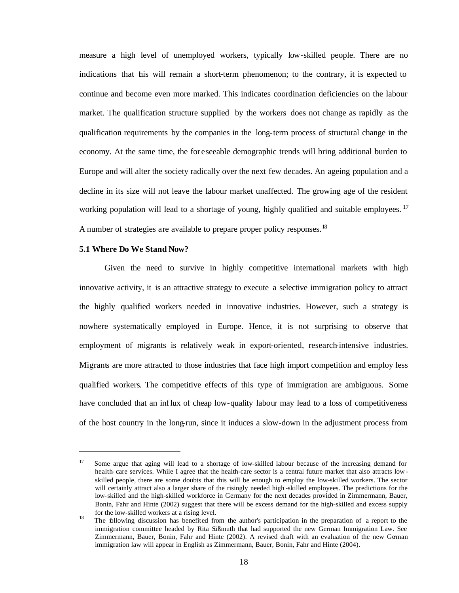measure a high level of unemployed workers, typically low-skilled people. There are no indications that his will remain a short-term phenomenon; to the contrary, it is expected to continue and become even more marked. This indicates coordination deficiencies on the labour market. The qualification structure supplied by the workers does not change as rapidly as the qualification requirements by the companies in the long-term process of structural change in the economy. At the same time, the for eseeable demographic trends will bring additional burden to Europe and will alter the society radically over the next few decades. An ageing population and a decline in its size will not leave the labour market unaffected. The growing age of the resident working population will lead to a shortage of young, highly qualified and suitable employees.<sup>17</sup> A number of strategies are available to prepare proper policy responses.<sup>18</sup>

#### **5.1 Where Do We Stand Now?**

 $\overline{\phantom{a}}$ 

Given the need to survive in highly competitive international markets with high innovative activity, it is an attractive strategy to execute a selective immigration policy to attract the highly qualified workers needed in innovative industries. However, such a strategy is nowhere systematically employed in Europe. Hence, it is not surprising to observe that employment of migrants is relatively weak in export-oriented, research-intensive industries. Migrants are more attracted to those industries that face high import competition and employ less qualified workers. The competitive effects of this type of immigration are ambiguous. Some have concluded that an influx of cheap low-quality labour may lead to a loss of competitiveness of the host country in the long-run, since it induces a slow-down in the adjustment process from

<sup>&</sup>lt;sup>17</sup> Some argue that aging will lead to a shortage of low-skilled labour because of the increasing demand for health- care services. While I agree that the health-care sector is a central future market that also attracts low skilled people, there are some doubts that this will be enough to employ the low-skilled workers. The sector will certainly attract also a larger share of the risingly needed high -skilled employees. The predictions for the low-skilled and the high-skilled workforce in Germany for the next decades provided in Zimmermann, Bauer, Bonin, Fahr and Hinte (2002) suggest that there will be excess demand for the high-skilled and excess supply for the low-skilled workers at a rising level.

<sup>&</sup>lt;sup>18</sup> The following discussion has benefited from the author's participation in the preparation of a report to the immigration committee headed by Rita Süßmuth that had supported the new German Immigration Law. See Zimmermann, Bauer, Bonin, Fahr and Hinte (2002). A revised draft with an evaluation of the new German immigration law will appear in English as Zimmermann, Bauer, Bonin, Fahr and Hinte (2004).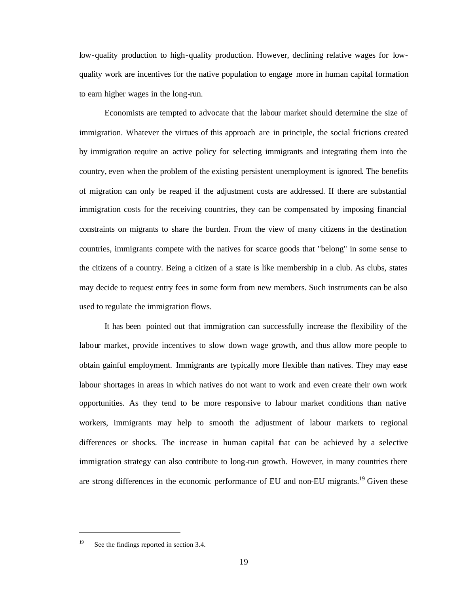low-quality production to high-quality production. However, declining relative wages for lowquality work are incentives for the native population to engage more in human capital formation to earn higher wages in the long-run.

Economists are tempted to advocate that the labour market should determine the size of immigration. Whatever the virtues of this approach are in principle, the social frictions created by immigration require an active policy for selecting immigrants and integrating them into the country, even when the problem of the existing persistent unemployment is ignored. The benefits of migration can only be reaped if the adjustment costs are addressed. If there are substantial immigration costs for the receiving countries, they can be compensated by imposing financial constraints on migrants to share the burden. From the view of many citizens in the destination countries, immigrants compete with the natives for scarce goods that "belong" in some sense to the citizens of a country. Being a citizen of a state is like membership in a club. As clubs, states may decide to request entry fees in some form from new members. Such instruments can be also used to regulate the immigration flows.

It has been pointed out that immigration can successfully increase the flexibility of the labour market, provide incentives to slow down wage growth, and thus allow more people to obtain gainful employment. Immigrants are typically more flexible than natives. They may ease labour shortages in areas in which natives do not want to work and even create their own work opportunities. As they tend to be more responsive to labour market conditions than native workers, immigrants may help to smooth the adjustment of labour markets to regional differences or shocks. The increase in human capital that can be achieved by a selective immigration strategy can also contribute to long-run growth. However, in many countries there are strong differences in the economic performance of EU and non-EU migrants.<sup>19</sup> Given these

<sup>&</sup>lt;sup>19</sup> See the findings reported in section 3.4.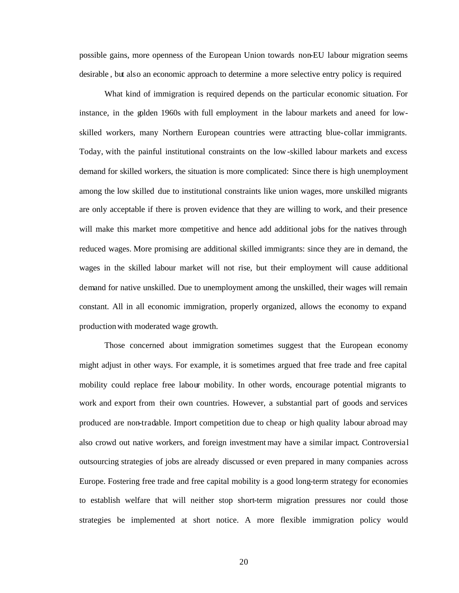possible gains, more openness of the European Union towards non-EU labour migration seems desirable , but also an economic approach to determine a more selective entry policy is required.

What kind of immigration is required depends on the particular economic situation. For instance, in the golden 1960s with full employment in the labour markets and a need for lowskilled workers, many Northern European countries were attracting blue-collar immigrants. Today, with the painful institutional constraints on the low-skilled labour markets and excess demand for skilled workers, the situation is more complicated: Since there is high unemployment among the low skilled due to institutional constraints like union wages, more unskilled migrants are only acceptable if there is proven evidence that they are willing to work, and their presence will make this market more competitive and hence add additional jobs for the natives through reduced wages. More promising are additional skilled immigrants: since they are in demand, the wages in the skilled labour market will not rise, but their employment will cause additional demand for native unskilled. Due to unemployment among the unskilled, their wages will remain constant. All in all economic immigration, properly organized, allows the economy to expand production with moderated wage growth.

Those concerned about immigration sometimes suggest that the European economy might adjust in other ways. For example, it is sometimes argued that free trade and free capital mobility could replace free labour mobility. In other words, encourage potential migrants to work and export from their own countries. However, a substantial part of goods and services produced are non-tradable. Import competition due to cheap or high quality labour abroad may also crowd out native workers, and foreign investment may have a similar impact. Controversial outsourcing strategies of jobs are already discussed or even prepared in many companies across Europe. Fostering free trade and free capital mobility is a good long-term strategy for economies to establish welfare that will neither stop short-term migration pressures nor could those strategies be implemented at short notice. A more flexible immigration policy would

20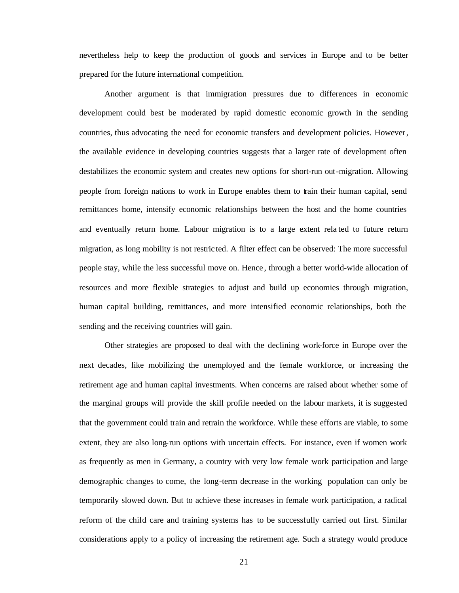nevertheless help to keep the production of goods and services in Europe and to be better prepared for the future international competition.

Another argument is that immigration pressures due to differences in economic development could best be moderated by rapid domestic economic growth in the sending countries, thus advocating the need for economic transfers and development policies. However, the available evidence in developing countries suggests that a larger rate of development often destabilizes the economic system and creates new options for short-run out-migration. Allowing people from foreign nations to work in Europe enables them to train their human capital, send remittances home, intensify economic relationships between the host and the home countries and eventually return home. Labour migration is to a large extent rela ted to future return migration, as long mobility is not restric ted. A filter effect can be observed: The more successful people stay, while the less successful move on. Hence , through a better world-wide allocation of resources and more flexible strategies to adjust and build up economies through migration, human capital building, remittances, and more intensified economic relationships, both the sending and the receiving countries will gain.

Other strategies are proposed to deal with the declining work-force in Europe over the next decades, like mobilizing the unemployed and the female workforce, or increasing the retirement age and human capital investments. When concerns are raised about whether some of the marginal groups will provide the skill profile needed on the labour markets, it is suggested that the government could train and retrain the workforce. While these efforts are viable, to some extent, they are also long-run options with uncertain effects. For instance, even if women work as frequently as men in Germany, a country with very low female work participation and large demographic changes to come, the long-term decrease in the working population can only be temporarily slowed down. But to achieve these increases in female work participation, a radical reform of the child care and training systems has to be successfully carried out first. Similar considerations apply to a policy of increasing the retirement age. Such a strategy would produce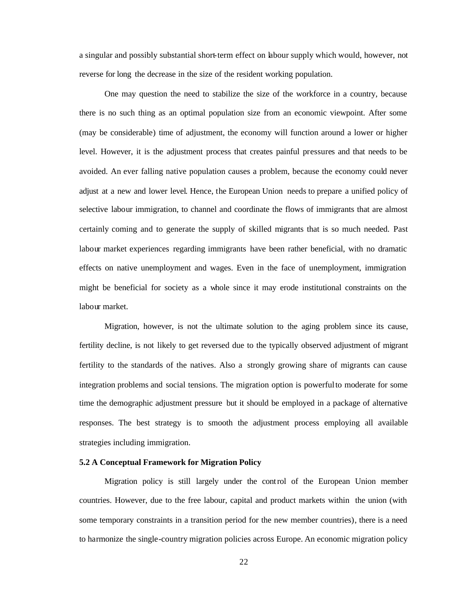a singular and possibly substantial short-term effect on labour supply which would, however, not reverse for long the decrease in the size of the resident working population.

One may question the need to stabilize the size of the workforce in a country, because there is no such thing as an optimal population size from an economic viewpoint. After some (may be considerable) time of adjustment, the economy will function around a lower or higher level. However, it is the adjustment process that creates painful pressures and that needs to be avoided. An ever falling native population causes a problem, because the economy could never adjust at a new and lower level. Hence, the European Union needs to prepare a unified policy of selective labour immigration, to channel and coordinate the flows of immigrants that are almost certainly coming and to generate the supply of skilled migrants that is so much needed. Past labour market experiences regarding immigrants have been rather beneficial, with no dramatic effects on native unemployment and wages. Even in the face of unemployment, immigration might be beneficial for society as a whole since it may erode institutional constraints on the labour market.

Migration, however, is not the ultimate solution to the aging problem since its cause, fertility decline, is not likely to get reversed due to the typically observed adjustment of migrant fertility to the standards of the natives. Also a strongly growing share of migrants can cause integration problems and social tensions. The migration option is powerful to moderate for some time the demographic adjustment pressure but it should be employed in a package of alternative responses. The best strategy is to smooth the adjustment process employing all available strategies including immigration.

#### **5.2 A Conceptual Framework for Migration Policy**

Migration policy is still largely under the control of the European Union member countries. However, due to the free labour, capital and product markets within the union (with some temporary constraints in a transition period for the new member countries), there is a need to harmonize the single-country migration policies across Europe. An economic migration policy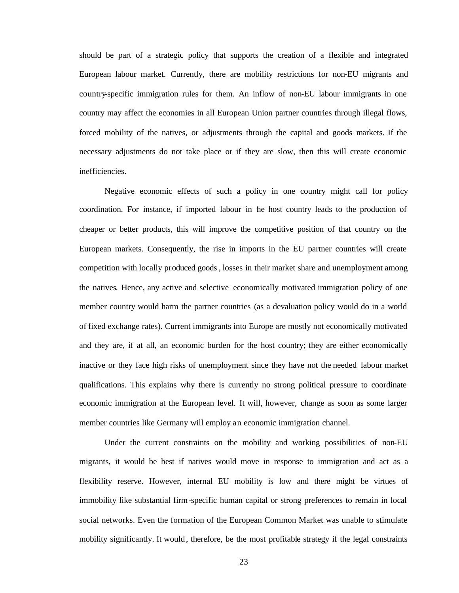should be part of a strategic policy that supports the creation of a flexible and integrated European labour market. Currently, there are mobility restrictions for non-EU migrants and country-specific immigration rules for them. An inflow of non-EU labour immigrants in one country may affect the economies in all European Union partner countries through illegal flows, forced mobility of the natives, or adjustments through the capital and goods markets. If the necessary adjustments do not take place or if they are slow, then this will create economic inefficiencies.

Negative economic effects of such a policy in one country might call for policy coordination. For instance, if imported labour in the host country leads to the production of cheaper or better products, this will improve the competitive position of that country on the European markets. Consequently, the rise in imports in the EU partner countries will create competition with locally produced goods, losses in their market share and unemployment among the natives. Hence, any active and selective economically motivated immigration policy of one member country would harm the partner countries (as a devaluation policy would do in a world of fixed exchange rates). Current immigrants into Europe are mostly not economically motivated and they are, if at all, an economic burden for the host country; they are either economically inactive or they face high risks of unemployment since they have not the needed labour market qualifications. This explains why there is currently no strong political pressure to coordinate economic immigration at the European level. It will, however, change as soon as some larger member countries like Germany will employ an economic immigration channel.

Under the current constraints on the mobility and working possibilities of non-EU migrants, it would be best if natives would move in response to immigration and act as a flexibility reserve. However, internal EU mobility is low and there might be virtues of immobility like substantial firm-specific human capital or strong preferences to remain in local social networks. Even the formation of the European Common Market was unable to stimulate mobility significantly. It would , therefore, be the most profitable strategy if the legal constraints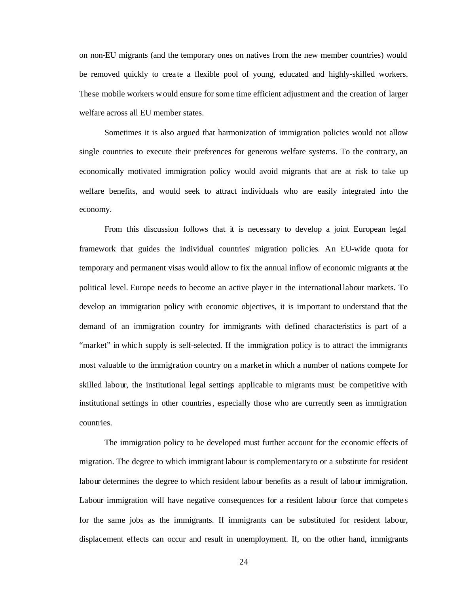on non-EU migrants (and the temporary ones on natives from the new member countries) would be removed quickly to create a flexible pool of young, educated and highly-skilled workers. These mobile workers would ensure for some time efficient adjustment and the creation of larger welfare across all EU member states.

Sometimes it is also argued that harmonization of immigration policies would not allow single countries to execute their preferences for generous welfare systems. To the contrary, an economically motivated immigration policy would avoid migrants that are at risk to take up welfare benefits, and would seek to attract individuals who are easily integrated into the economy.

From this discussion follows that it is necessary to develop a joint European legal framework that guides the individual countries' migration policies. An EU-wide quota for temporary and permanent visas would allow to fix the annual inflow of economic migrants at the political level. Europe needs to become an active player in the international labour markets. To develop an immigration policy with economic objectives, it is important to understand that the demand of an immigration country for immigrants with defined characteristics is part of a "market" in which supply is self-selected. If the immigration policy is to attract the immigrants most valuable to the immigration country on a market in which a number of nations compete for skilled labour, the institutional legal settings applicable to migrants must be competitive with institutional settings in other countries, especially those who are currently seen as immigration countries.

The immigration policy to be developed must further account for the economic effects of migration. The degree to which immigrant labour is complementary to or a substitute for resident labour determines the degree to which resident labour benefits as a result of labour immigration. Labour immigration will have negative consequences for a resident labour force that compete s for the same jobs as the immigrants. If immigrants can be substituted for resident labour, displacement effects can occur and result in unemployment. If, on the other hand, immigrants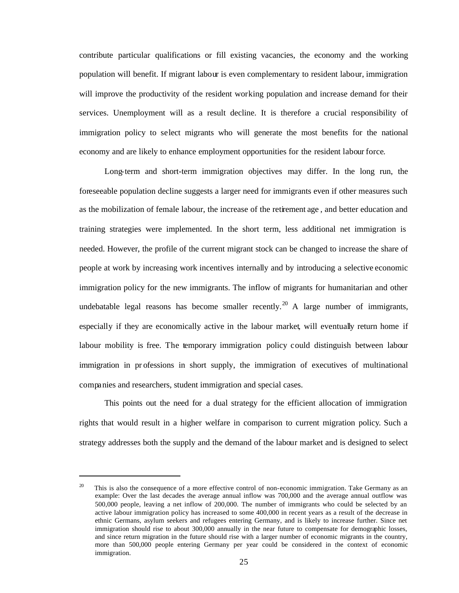contribute particular qualifications or fill existing vacancies, the economy and the working population will benefit. If migrant labour is even complementary to resident labour, immigration will improve the productivity of the resident working population and increase demand for their services. Unemployment will as a result decline. It is therefore a crucial responsibility of immigration policy to select migrants who will generate the most benefits for the national economy and are likely to enhance employment opportunities for the resident labour force.

Long-term and short-term immigration objectives may differ. In the long run, the foreseeable population decline suggests a larger need for immigrants even if other measures such as the mobilization of female labour, the increase of the retirement age , and better education and training strategies were implemented. In the short term, less additional net immigration is needed. However, the profile of the current migrant stock can be changed to increase the share of people at work by increasing work incentives internally and by introducing a selective economic immigration policy for the new immigrants. The inflow of migrants for humanitarian and other undebatable legal reasons has become smaller recently.<sup>20</sup> A large number of immigrants, especially if they are economically active in the labour market, will eventually return home if labour mobility is free. The temporary immigration policy could distinguish between labour immigration in pr ofessions in short supply, the immigration of executives of multinational companies and researchers, student immigration and special cases.

This points out the need for a dual strategy for the efficient allocation of immigration rights that would result in a higher welfare in comparison to current migration policy. Such a strategy addresses both the supply and the demand of the labour market and is designed to select

This is also the consequence of a more effective control of non-economic immigration. Take Germany as an example: Over the last decades the average annual inflow was 700,000 and the average annual outflow was 500,000 people, leaving a net inflow of 200,000. The number of immigrants who could be selected by an active labour immigration policy has increased to some 400,000 in recent years as a result of the decrease in ethnic Germans, asylum seekers and refugees entering Germany, and is likely to increase further. Since net immigration should rise to about 300,000 annually in the near future to compensate for demographic losses, and since return migration in the future should rise with a larger number of economic migrants in the country, more than 500,000 people entering Germany per year could be considered in the context of economic immigration.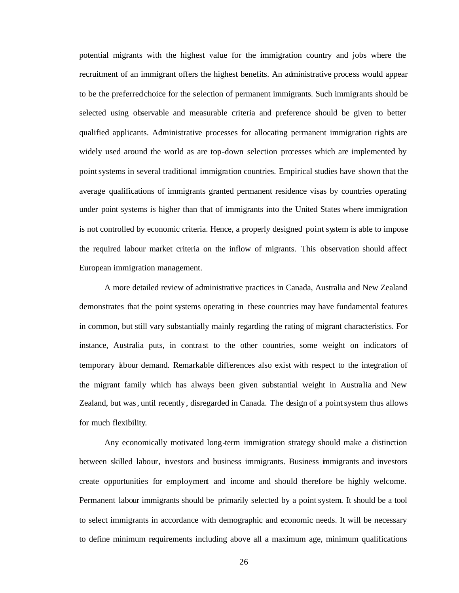potential migrants with the highest value for the immigration country and jobs where the recruitment of an immigrant offers the highest benefits. An administrative process would appear to be the preferred choice for the selection of permanent immigrants. Such immigrants should be selected using observable and measurable criteria and preference should be given to better qualified applicants. Administrative processes for allocating permanent immigration rights are widely used around the world as are top-down selection processes which are implemented by point systems in several traditional immigration countries. Empirical studies have shown that the average qualifications of immigrants granted permanent residence visas by countries operating under point systems is higher than that of immigrants into the United States where immigration is not controlled by economic criteria. Hence, a properly designed point system is able to impose the required labour market criteria on the inflow of migrants. This observation should affect European immigration management.

A more detailed review of administrative practices in Canada, Australia and New Zealand demonstrates that the point systems operating in these countries may have fundamental features in common, but still vary substantially mainly regarding the rating of migrant characteristics. For instance, Australia puts, in contra st to the other countries, some weight on indicators of temporary labour demand. Remarkable differences also exist with respect to the integration of the migrant family which has always been given substantial weight in Australia and New Zealand, but was, until recently, disregarded in Canada. The design of a point system thus allows for much flexibility.

Any economically motivated long-term immigration strategy should make a distinction between skilled labour, investors and business immigrants. Business immigrants and investors create opportunities for employment and income and should therefore be highly welcome. Permanent labour immigrants should be primarily selected by a point system. It should be a tool to select immigrants in accordance with demographic and economic needs. It will be necessary to define minimum requirements including above all a maximum age, minimum qualifications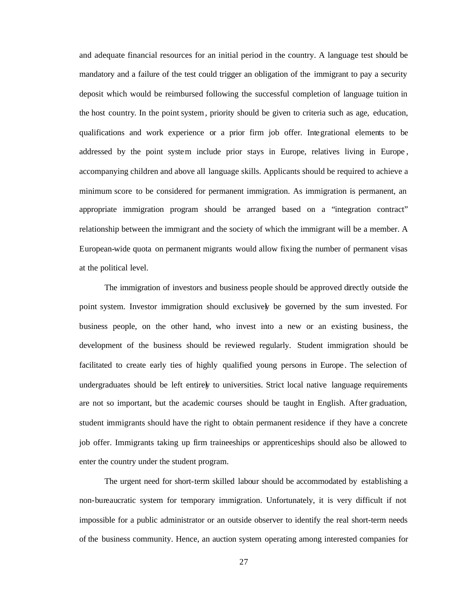and adequate financial resources for an initial period in the country. A language test should be mandatory and a failure of the test could trigger an obligation of the immigrant to pay a security deposit which would be reimbursed following the successful completion of language tuition in the host country. In the point system, priority should be given to criteria such as age, education, qualifications and work experience or a prior firm job offer. Integrational elements to be addressed by the point system include prior stays in Europe, relatives living in Europe , accompanying children and above all language skills. Applicants should be required to achieve a minimum score to be considered for permanent immigration. As immigration is permanent, an appropriate immigration program should be arranged based on a "integration contract" relationship between the immigrant and the society of which the immigrant will be a member. A European-wide quota on permanent migrants would allow fixing the number of permanent visas at the political level.

The immigration of investors and business people should be approved directly outside the point system. Investor immigration should exclusively be governed by the sum invested. For business people, on the other hand, who invest into a new or an existing business, the development of the business should be reviewed regularly. Student immigration should be facilitated to create early ties of highly qualified young persons in Europe. The selection of undergraduates should be left entirely to universities. Strict local native language requirements are not so important, but the academic courses should be taught in English. After graduation, student immigrants should have the right to obtain permanent residence if they have a concrete job offer. Immigrants taking up firm traineeships or apprenticeships should also be allowed to enter the country under the student program.

The urgent need for short-term skilled labour should be accommodated by establishing a non-bureaucratic system for temporary immigration. Unfortunately, it is very difficult if not impossible for a public administrator or an outside observer to identify the real short-term needs of the business community. Hence, an auction system operating among interested companies for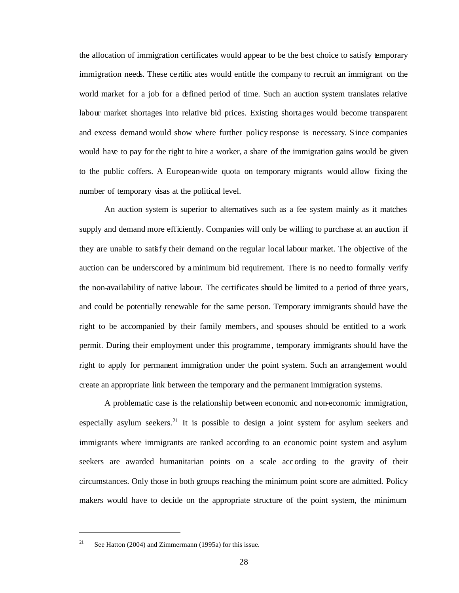the allocation of immigration certificates would appear to be the best choice to satisfy temporary immigration needs. These ce rtific ates would entitle the company to recruit an immigrant on the world market for a job for a defined period of time. Such an auction system translates relative labour market shortages into relative bid prices. Existing shortages would become transparent and excess demand would show where further policy response is necessary. Since companies would have to pay for the right to hire a worker, a share of the immigration gains would be given to the public coffers. A European-wide quota on temporary migrants would allow fixing the number of temporary visas at the political level.

An auction system is superior to alternatives such as a fee system mainly as it matches supply and demand more efficiently. Companies will only be willing to purchase at an auction if they are unable to satisfy their demand on the regular local labour market. The objective of the auction can be underscored by a minimum bid requirement. There is no need to formally verify the non-availability of native labour. The certificates should be limited to a period of three years, and could be potentially renewable for the same person. Temporary immigrants should have the right to be accompanied by their family members, and spouses should be entitled to a work permit. During their employment under this programme , temporary immigrants should have the right to apply for permanent immigration under the point system. Such an arrangement would create an appropriate link between the temporary and the permanent immigration systems.

A problematic case is the relationship between economic and non-economic immigration, especially asylum seekers.<sup>21</sup> It is possible to design a joint system for asylum seekers and immigrants where immigrants are ranked according to an economic point system and asylum seekers are awarded humanitarian points on a scale acc ording to the gravity of their circumstances. Only those in both groups reaching the minimum point score are admitted. Policy makers would have to decide on the appropriate structure of the point system, the minimum

<sup>21</sup> See Hatton (2004) and Zimmermann (1995a) for this issue.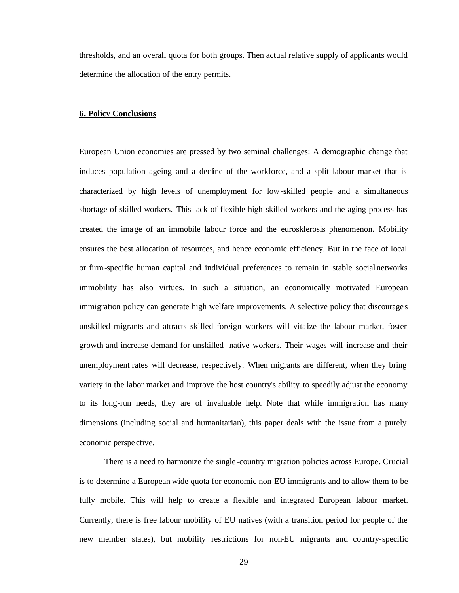thresholds, and an overall quota for both groups. Then actual relative supply of applicants would determine the allocation of the entry permits.

#### **6. Policy Conclusions**

European Union economies are pressed by two seminal challenges: A demographic change that induces population ageing and a decline of the workforce, and a split labour market that is characterized by high levels of unemployment for low -skilled people and a simultaneous shortage of skilled workers. This lack of flexible high-skilled workers and the aging process has created the image of an immobile labour force and the eurosklerosis phenomenon. Mobility ensures the best allocation of resources, and hence economic efficiency. But in the face of local or firm-specific human capital and individual preferences to remain in stable social networks immobility has also virtues. In such a situation, an economically motivated European immigration policy can generate high welfare improvements. A selective policy that discourage s unskilled migrants and attracts skilled foreign workers will vitalize the labour market, foster growth and increase demand for unskilled native workers. Their wages will increase and their unemployment rates will decrease, respectively. When migrants are different, when they bring variety in the labor market and improve the host country's ability to speedily adjust the economy to its long-run needs, they are of invaluable help. Note that while immigration has many dimensions (including social and humanitarian), this paper deals with the issue from a purely economic perspe ctive.

There is a need to harmonize the single -country migration policies across Europe. Crucial is to determine a European-wide quota for economic non-EU immigrants and to allow them to be fully mobile. This will help to create a flexible and integrated European labour market. Currently, there is free labour mobility of EU natives (with a transition period for people of the new member states), but mobility restrictions for non-EU migrants and country-specific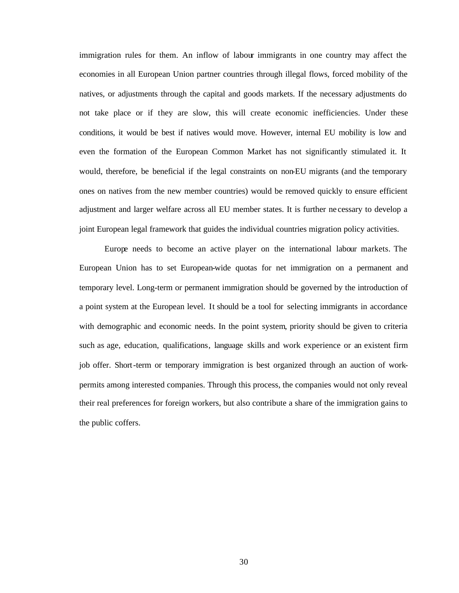immigration rules for them. An inflow of labour immigrants in one country may affect the economies in all European Union partner countries through illegal flows, forced mobility of the natives, or adjustments through the capital and goods markets. If the necessary adjustments do not take place or if they are slow, this will create economic inefficiencies. Under these conditions, it would be best if natives would move. However, internal EU mobility is low and even the formation of the European Common Market has not significantly stimulated it. It would, therefore, be beneficial if the legal constraints on non-EU migrants (and the temporary ones on natives from the new member countries) would be removed quickly to ensure efficient adjustment and larger welfare across all EU member states. It is further ne cessary to develop a joint European legal framework that guides the individual countries migration policy activities.

Europe needs to become an active player on the international labour markets. The European Union has to set European-wide quotas for net immigration on a permanent and temporary level. Long-term or permanent immigration should be governed by the introduction of a point system at the European level. It should be a tool for selecting immigrants in accordance with demographic and economic needs. In the point system, priority should be given to criteria such as age, education, qualifications, language skills and work experience or an existent firm job offer. Short-term or temporary immigration is best organized through an auction of workpermits among interested companies. Through this process, the companies would not only reveal their real preferences for foreign workers, but also contribute a share of the immigration gains to the public coffers.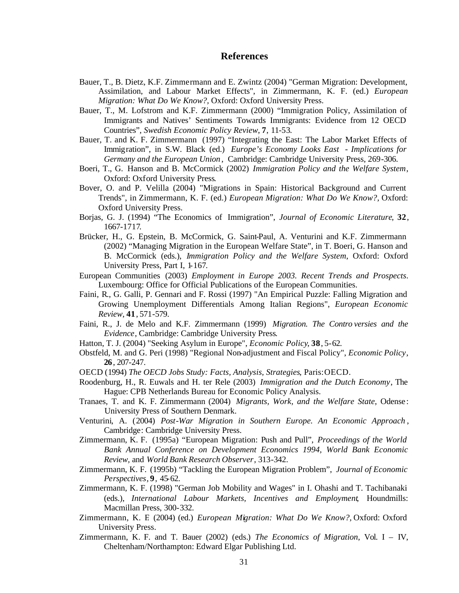#### **References**

- Bauer, T., B. Dietz, K.F. Zimmermann and E. Zwintz (2004) "German Migration: Development, Assimilation, and Labour Market Effects", in Zimmermann, K. F. (ed.) *European Migration: What Do We Know?,* Oxford: Oxford University Press.
- Bauer, T., M. Lofstrom and K.F. Zimmermann (2000) "Immigration Policy, Assimilation of Immigrants and Natives' Sentiments Towards Immigrants: Evidence from 12 OECD Countries", *Swedish Economic Policy Review*, **7**, 11-53.
- Bauer, T. and K. F. Zimmermann (1997) "Integrating the East: The Labor Market Effects of Immigration", in S.W. Black (ed.) *Europe's Economy Looks East - Implications for Germany and the European Union* , Cambridge: Cambridge University Press, 269-306.
- Boeri, T., G. Hanson and B. McCormick (2002) *Immigration Policy and the Welfare System*, Oxford: Oxford University Press.
- Bover, O. and P. Velilla (2004) "Migrations in Spain: Historical Background and Current Trends", in Zimmermann, K. F. (ed.) *European Migration: What Do We Know?,* Oxford: Oxford University Press.
- Borjas, G. J. (1994) "The Economics of Immigration", *Journal of Economic Literature*, **32**, 1667-1717.
- Brücker, H., G. Epstein, B. McCormick, G. Saint-Paul, A. Venturini and K.F. Zimmermann (2002) "Managing Migration in the European Welfare State", in T. Boeri, G. Hanson and B. McCormick (eds.), *Immigration Policy and the Welfare System*, Oxford: Oxford University Press, Part I, 1-167.
- European Communities (2003) *Employment in Europe 2003. Recent Trends and Prospects*. Luxembourg: Office for Official Publications of the European Communities.
- Faini, R., G. Galli, P. Gennari and F. Rossi (1997) "An Empirical Puzzle: Falling Migration and Growing Unemployment Differentials Among Italian Regions", *European Economic Review*, **41**, 571-579.
- Faini, R., J. de Melo and K.F. Zimmermann (1999) *Migration. The Contro versies and the Evidence*, Cambridge: Cambridge University Press.
- Hatton, T. J. (2004) "Seeking Asylum in Europe", *Economic Policy*, **38**, 5-62.
- Obstfeld, M. and G. Peri (1998) "Regional Non-adjustment and Fiscal Policy", *Economic Policy*, **26**, 207-247.
- OECD (1994) *The OECD Jobs Study: Facts, Analysis, Strategies*, Paris:OECD.
- Roodenburg, H., R. Euwals and H. ter Rele (2003) *Immigration and the Dutch Economy*, The Hague: CPB Netherlands Bureau for Economic Policy Analysis.
- Tranaes, T. and K. F. Zimmermann (2004) *Migrants, Work, and the Welfare State*, Odense : University Press of Southern Denmark.
- Venturini, A. (2004) *Post-War Migration in Southern Europe. An Economic Approach* , Cambridge: Cambridge University Press.
- Zimmermann, K. F. (1995a) "European Migration: Push and Pull", *Proceedings of the World Bank Annual Conference on Development Economics 1994, World Bank Economic Review,* and *World Bank Research Observer*, 313-342.
- Zimmermann, K. F. (1995b) "Tackling the European Migration Problem", *Journal of Economic Perspectives*, **9**, 45-62.
- Zimmermann, K. F. (1998) "German Job Mobility and Wages" in I. Ohashi and T. Tachibanaki (eds.), *International Labour Markets, Incentives and Employment*, Houndmills: Macmillan Press, 300-332.
- Zimmermann, K. F. (2004) (ed.) *European Migration: What Do We Know?,* Oxford: Oxford University Press.
- Zimmermann, K. F. and T. Bauer (2002) (eds.) *The Economics of Migration*, Vol. I IV, Cheltenham/Northampton: Edward Elgar Publishing Ltd.